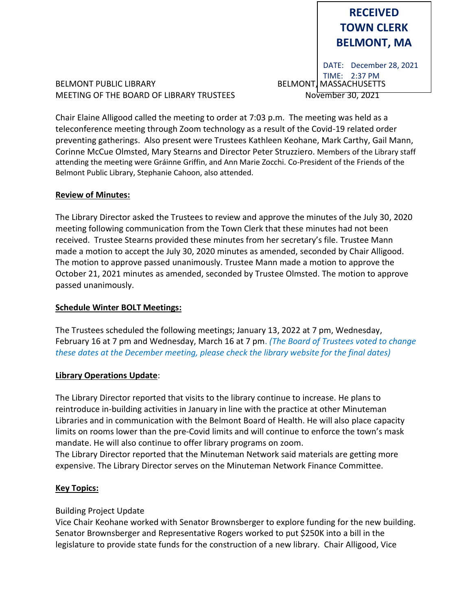# **RECEIVED TOWN CLERK BELMONT, MA**

BELMONT PUBLIC LIBRARY **BELMONT, MASSACHUSETTS** MEETING OF THE BOARD OF LIBRARY TRUSTEES November 30, 2021

DATE: December 28, 2021 TIME: 2:37 PM

Chair Elaine Alligood called the meeting to order at 7:03 p.m. The meeting was held as a teleconference meeting through Zoom technology as a result of the Covid-19 related order preventing gatherings. Also present were Trustees Kathleen Keohane, Mark Carthy, Gail Mann, Corinne McCue Olmsted, Mary Stearns and Director Peter Struzziero. Members of the Library staff attending the meeting were Gráinne Griffin, and Ann Marie Zocchi. Co-President of the Friends of the Belmont Public Library, Stephanie Cahoon, also attended.

## **Review of Minutes:**

The Library Director asked the Trustees to review and approve the minutes of the July 30, 2020 meeting following communication from the Town Clerk that these minutes had not been received. Trustee Stearns provided these minutes from her secretary's file. Trustee Mann made a motion to accept the July 30, 2020 minutes as amended, seconded by Chair Alligood. The motion to approve passed unanimously. Trustee Mann made a motion to approve the October 21, 2021 minutes as amended, seconded by Trustee Olmsted. The motion to approve passed unanimously.

# **Schedule Winter BOLT Meetings:**

The Trustees scheduled the following meetings; January 13, 2022 at 7 pm, Wednesday, February 16 at 7 pm and Wednesday, March 16 at 7 pm. *(The Board of Trustees voted to change these dates at the December meeting, please check the library website for the final dates)*

## **Library Operations Update**:

The Library Director reported that visits to the library continue to increase. He plans to reintroduce in-building activities in January in line with the practice at other Minuteman Libraries and in communication with the Belmont Board of Health. He will also place capacity limits on rooms lower than the pre-Covid limits and will continue to enforce the town's mask mandate. He will also continue to offer library programs on zoom. The Library Director reported that the Minuteman Network said materials are getting more expensive. The Library Director serves on the Minuteman Network Finance Committee.

## **Key Topics:**

# Building Project Update

Vice Chair Keohane worked with Senator Brownsberger to explore funding for the new building. Senator Brownsberger and Representative Rogers worked to put \$250K into a bill in the legislature to provide state funds for the construction of a new library. Chair Alligood, Vice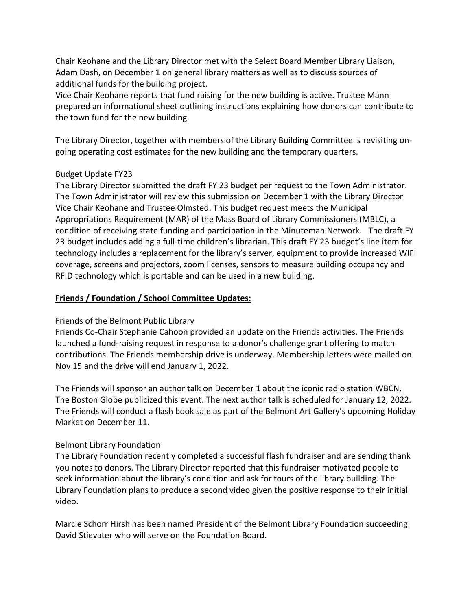Chair Keohane and the Library Director met with the Select Board Member Library Liaison, Adam Dash, on December 1 on general library matters as well as to discuss sources of additional funds for the building project.

Vice Chair Keohane reports that fund raising for the new building is active. Trustee Mann prepared an informational sheet outlining instructions explaining how donors can contribute to the town fund for the new building.

The Library Director, together with members of the Library Building Committee is revisiting ongoing operating cost estimates for the new building and the temporary quarters.

## Budget Update FY23

The Library Director submitted the draft FY 23 budget per request to the Town Administrator. The Town Administrator will review this submission on December 1 with the Library Director Vice Chair Keohane and Trustee Olmsted. This budget request meets the Municipal Appropriations Requirement (MAR) of the Mass Board of Library Commissioners (MBLC), a condition of receiving state funding and participation in the Minuteman Network. The draft FY 23 budget includes adding a full-time children's librarian. This draft FY 23 budget's line item for technology includes a replacement for the library's server, equipment to provide increased WIFI coverage, screens and projectors, zoom licenses, sensors to measure building occupancy and RFID technology which is portable and can be used in a new building.

## **Friends / Foundation / School Committee Updates:**

## Friends of the Belmont Public Library

Friends Co-Chair Stephanie Cahoon provided an update on the Friends activities. The Friends launched a fund-raising request in response to a donor's challenge grant offering to match contributions. The Friends membership drive is underway. Membership letters were mailed on Nov 15 and the drive will end January 1, 2022.

The Friends will sponsor an author talk on December 1 about the iconic radio station WBCN. The Boston Globe publicized this event. The next author talk is scheduled for January 12, 2022. The Friends will conduct a flash book sale as part of the Belmont Art Gallery's upcoming Holiday Market on December 11.

#### Belmont Library Foundation

The Library Foundation recently completed a successful flash fundraiser and are sending thank you notes to donors. The Library Director reported that this fundraiser motivated people to seek information about the library's condition and ask for tours of the library building. The Library Foundation plans to produce a second video given the positive response to their initial video.

Marcie Schorr Hirsh has been named President of the Belmont Library Foundation succeeding David Stievater who will serve on the Foundation Board.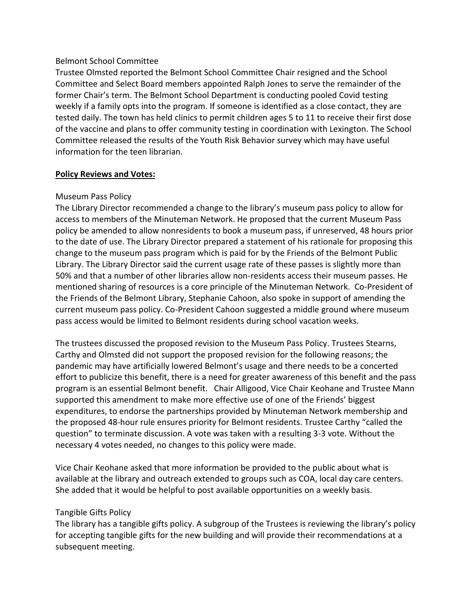#### Belmont School Committee

Trustee Olmsted reported the Belmont School Committee Chair resigned and the School Committee and Select Board members appointed Ralph Jones to serve the remainder of the former Chair's term. The Belmont School Department is conducting pooled Covid testing weekly if a family opts into the program. If someone is identified as a close contact, they are tested daily. The town has held clinics to permit children ages 5 to 11 to receive their first dose of the vaccine and plans to offer community testing in coordination with Lexington. The School Committee released the results of the Youth Risk Behavior survey which may have useful information for the teen librarian.

## **Policy Reviews and Votes:**

## Museum Pass Policy

The Library Director recommended a change to the library's museum pass policy to allow for access to members of the Minuteman Network. He proposed that the current Museum Pass policy be amended to allow nonresidents to book a museum pass, if unreserved, 48 hours prior to the date of use. The Library Director prepared a statement of his rationale for proposing this change to the museum pass program which is paid for by the Friends of the Belmont Public Library. The Library Director said the current usage rate of these passes is slightly more than 50% and that a number of other libraries allow non-residents access their museum passes. He mentioned sharing of resources is a core principle of the Minuteman Network. Co-President of the Friends of the Belmont Library, Stephanie Cahoon, also spoke in support of amending the current museum pass policy. Co-President Cahoon suggested a middle ground where museum pass access would be limited to Belmont residents during school vacation weeks.

The trustees discussed the proposed revision to the Museum Pass Policy. Trustees Stearns, Carthy and Olmsted did not support the proposed revision for the following reasons; the pandemic may have artificially lowered Belmont's usage and there needs to be a concerted effort to publicize this benefit, there is a need for greater awareness of this benefit and the pass program is an essential Belmont benefit. Chair Alligood, Vice Chair Keohane and Trustee Mann supported this amendment to make more effective use of one of the Friends' biggest expenditures, to endorse the partnerships provided by Minuteman Network membership and the proposed 48-hour rule ensures priority for Belmont residents. Trustee Carthy "called the question" to terminate discussion. A vote was taken with a resulting 3-3 vote. Without the necessary 4 votes needed, no changes to this policy were made.

Vice Chair Keohane asked that more information be provided to the public about what is available at the library and outreach extended to groups such as COA, local day care centers. She added that it would be helpful to post available opportunities on a weekly basis.

## Tangible Gifts Policy

The library has a tangible gifts policy. A subgroup of the Trustees is reviewing the library's policy for accepting tangible gifts for the new building and will provide their recommendations at a subsequent meeting.